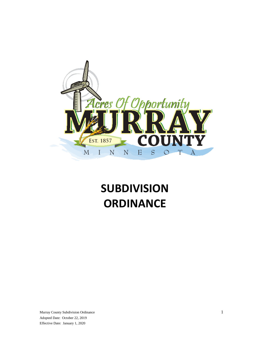

# **SUBDIVISION ORDINANCE**

Murray County Subdivision Ordinance 1 Adopted Date: October 22, 2019 Effective Date: January 1, 2020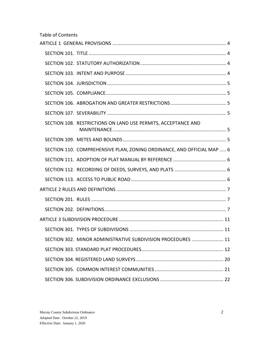Table of Contents

|  |  | SECTION 108. RESTRICTIONS ON LAND USE PERMITS, ACCEPTANCE AND          |  |  |  |
|--|--|------------------------------------------------------------------------|--|--|--|
|  |  |                                                                        |  |  |  |
|  |  | SECTION 110. COMPREHENSIVE PLAN, ZONING ORDINANCE, AND OFFICIAL MAP  6 |  |  |  |
|  |  |                                                                        |  |  |  |
|  |  |                                                                        |  |  |  |
|  |  |                                                                        |  |  |  |
|  |  |                                                                        |  |  |  |
|  |  |                                                                        |  |  |  |
|  |  |                                                                        |  |  |  |
|  |  |                                                                        |  |  |  |
|  |  |                                                                        |  |  |  |
|  |  | SECTION 302. MINOR ADMINISTRATIVE SUBDIVISION PROCEDURES  11           |  |  |  |
|  |  |                                                                        |  |  |  |
|  |  |                                                                        |  |  |  |
|  |  |                                                                        |  |  |  |
|  |  |                                                                        |  |  |  |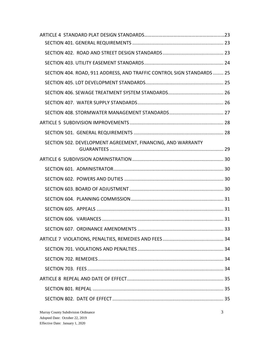| SECTION 404. ROAD, 911 ADDRESS, AND TRAFFIC CONTROL SIGN STANDARDS  25 |  |  |  |  |
|------------------------------------------------------------------------|--|--|--|--|
|                                                                        |  |  |  |  |
|                                                                        |  |  |  |  |
|                                                                        |  |  |  |  |
|                                                                        |  |  |  |  |
|                                                                        |  |  |  |  |
|                                                                        |  |  |  |  |
| SECTION 502. DEVELOPMENT AGREEMENT, FINANCING, AND WARRANTY            |  |  |  |  |
|                                                                        |  |  |  |  |
|                                                                        |  |  |  |  |
|                                                                        |  |  |  |  |
|                                                                        |  |  |  |  |
|                                                                        |  |  |  |  |
|                                                                        |  |  |  |  |
|                                                                        |  |  |  |  |
|                                                                        |  |  |  |  |
|                                                                        |  |  |  |  |
|                                                                        |  |  |  |  |
|                                                                        |  |  |  |  |
|                                                                        |  |  |  |  |
|                                                                        |  |  |  |  |
|                                                                        |  |  |  |  |
|                                                                        |  |  |  |  |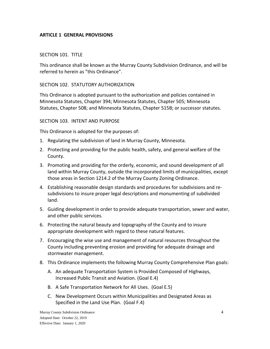## <span id="page-3-0"></span>**ARTICLE 1 GENERAL PROVISIONS**

#### <span id="page-3-1"></span>SECTION 101. TITLE

This ordinance shall be known as the Murray County Subdivision Ordinance, and will be referred to herein as "this Ordinance".

### <span id="page-3-2"></span>SECTION 102. STATUTORY AUTHORIZATION

This Ordinance is adopted pursuant to the authorization and policies contained in Minnesota Statutes, Chapter 394; Minnesota Statutes, Chapter 505; Minnesota Statutes, Chapter 508; and Minnesota Statutes, Chapter 515B; or successor statutes.

#### <span id="page-3-3"></span>SECTION 103. INTENT AND PURPOSE

This Ordinance is adopted for the purposes of:

- 1. Regulating the subdivision of land in Murray County, Minnesota.
- 2. Protecting and providing for the public health, safety, and general welfare of the County.
- 3. Promoting and providing for the orderly, economic, and sound development of all land within Murray County, outside the incorporated limits of municipalities, except those areas in Section 1214.2 of the Murray County Zoning Ordinance.
- 4. Establishing reasonable design standards and procedures for subdivisions and resubdivisions to insure proper legal descriptions and monumenting of subdivided land.
- 5. Guiding development in order to provide adequate transportation, sewer and water, and other public services.
- 6. Protecting the natural beauty and topography of the County and to insure appropriate development with regard to these natural features.
- 7. Encouraging the wise use and management of natural resources throughout the County including preventing erosion and providing for adequate drainage and stormwater management.
- 8. This Ordinance implements the following Murray County Comprehensive Plan goals:
	- A. An adequate Transportation System is Provided Composed of Highways, Increased Public Transit and Aviation. (Goal E.4)
	- B. A Safe Transportation Network for All Uses. (Goal E.5)
	- C. New Development Occurs within Municipalities and Designated Areas as Specified in the Land Use Plan. (Goal F.4)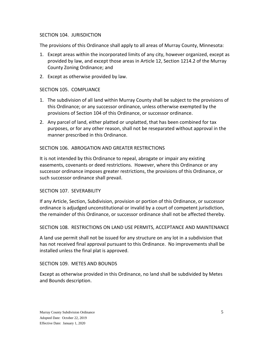## <span id="page-4-0"></span>SECTION 104. JURISDICTION

The provisions of this Ordinance shall apply to all areas of Murray County, Minnesota:

- 1. Except areas within the incorporated limits of any city, however organized, except as provided by law, and except those areas in Article 12, Section 1214.2 of the Murray County Zoning Ordinance; and
- 2. Except as otherwise provided by law.

#### <span id="page-4-1"></span>SECTION 105. COMPLIANCE

- 1. The subdivision of all land within Murray County shall be subject to the provisions of this Ordinance; or any successor ordinance, unless otherwise exempted by the provisions of Section 104 of this Ordinance, or successor ordinance.
- 2. Any parcel of land, either platted or unplatted, that has been combined for tax purposes, or for any other reason, shall not be reseparated without approval in the manner prescribed in this Ordinance.

#### <span id="page-4-2"></span>SECTION 106. ABROGATION AND GREATER RESTRICTIONS

It is not intended by this Ordinance to repeal, abrogate or impair any existing easements, covenants or deed restrictions. However, where this Ordinance or any successor ordinance imposes greater restrictions, the provisions of this Ordinance, or such successor ordinance shall prevail.

#### <span id="page-4-3"></span>SECTION 107. SEVERABILITY

If any Article, Section, Subdivision, provision or portion of this Ordinance, or successor ordinance is adjudged unconstitutional or invalid by a court of competent jurisdiction, the remainder of this Ordinance, or successor ordinance shall not be affected thereby.

#### <span id="page-4-4"></span>SECTION 108. RESTRICTIONS ON LAND USE PERMITS, ACCEPTANCE AND MAINTENANCE

A land use permit shall not be issued for any structure on any lot in a subdivision that has not received final approval pursuant to this Ordinance. No improvements shall be installed unless the final plat is approved.

#### <span id="page-4-5"></span>SECTION 109. METES AND BOUNDS

Except as otherwise provided in this Ordinance, no land shall be subdivided by Metes and Bounds description.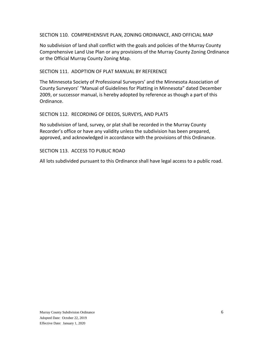## <span id="page-5-0"></span>SECTION 110. COMPREHENSIVE PLAN, ZONING ORDINANCE, AND OFFICIAL MAP

No subdivision of land shall conflict with the goals and policies of the Murray County Comprehensive Land Use Plan or any provisions of the Murray County Zoning Ordinance or the Official Murray County Zoning Map.

## <span id="page-5-1"></span>SECTION 111. ADOPTION OF PLAT MANUAL BY REFERENCE

The Minnesota Society of Professional Surveyors' and the Minnesota Association of County Surveyors' "Manual of Guidelines for Platting in Minnesota" dated December 2009, or successor manual, is hereby adopted by reference as though a part of this Ordinance.

## <span id="page-5-2"></span>SECTION 112. RECORDING OF DEEDS, SURVEYS, AND PLATS

No subdivision of land, survey, or plat shall be recorded in the Murray County Recorder's office or have any validity unless the subdivision has been prepared, approved, and acknowledged in accordance with the provisions of this Ordinance.

## <span id="page-5-3"></span>SECTION 113. ACCESS TO PUBLIC ROAD

All lots subdivided pursuant to this Ordinance shall have legal access to a public road.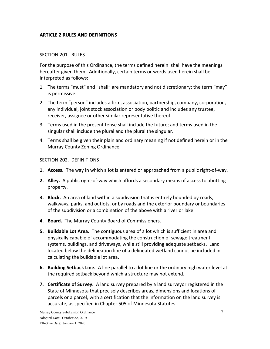## <span id="page-6-0"></span>**ARTICLE 2 RULES AND DEFINITIONS**

#### <span id="page-6-1"></span>SECTION 201. RULES

For the purpose of this Ordinance, the terms defined herein shall have the meanings hereafter given them. Additionally, certain terms or words used herein shall be interpreted as follows:

- 1. The terms "must" and "shall" are mandatory and not discretionary; the term "may" is permissive.
- 2. The term "person" includes a firm, association, partnership, company, corporation, any individual, joint stock association or body politic and includes any trustee, receiver, assignee or other similar representative thereof.
- 3. Terms used in the present tense shall include the future; and terms used in the singular shall include the plural and the plural the singular.
- 4. Terms shall be given their plain and ordinary meaning if not defined herein or in the Murray County Zoning Ordinance.

#### <span id="page-6-2"></span>SECTION 202. DEFINITIONS

- **1. Access.** The way in which a lot is entered or approached from a public right-of-way.
- **2. Alley.** A public right-of-way which affords a secondary means of access to abutting property.
- **3. Block.** An area of land within a subdivision that is entirely bounded by roads, walkways, parks, and outlots, or by roads and the exterior boundary or boundaries of the subdivision or a combination of the above with a river or lake.
- **4. Board.** The Murray County Board of Commissioners.
- **5. Buildable Lot Area.** The contiguous area of a lot which is sufficient in area and physically capable of accommodating the construction of sewage treatment systems, buildings, and driveways, while still providing adequate setbacks. Land located below the delineation line of a delineated wetland cannot be included in calculating the buildable lot area.
- **6. Building Setback Line.** A line parallel to a lot line or the ordinary high water level at the required setback beyond which a structure may not extend.
- **7. Certificate of Survey.** A land survey prepared by a land surveyor registered in the State of Minnesota that precisely describes areas, dimensions and locations of parcels or a parcel, with a certification that the information on the land survey is accurate, as specified in Chapter 505 of Minnesota Statutes.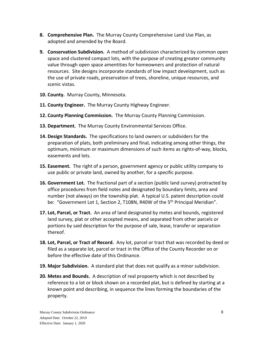- **8. Comprehensive Plan.** The Murray County Comprehensive Land Use Plan, as adopted and amended by the Board.
- **9. Conservation Subdivision.** A method of subdivision characterized by common open space and clustered compact lots, with the purpose of creating greater community value through open space amentities for homeowners and protection of natural resources. Site designs incorporate standards of low impact development, such as the use of private roads, preservation of trees, shoreline, unique resources, and scenic vistas.
- **10. County.** Murray County, Minnesota.
- **11. County Engineer.** The Murray County Highway Engineer.
- **12. County Planning Commission.** The Murray County Planning Commission.
- **13. Department.** The Murray County Environmental Services Office.
- **14. Design Standards.** The specifications to land owners or subdividers for the preparation of plats, both preliminary and final, indicating among other things, the optimum, minimum or maximum dimensions of such items as rights-of-way, blocks, easements and lots.
- **15. Easement.** The right of a person, government agency or public utility company to use public or private land, owned by another, for a specific purpose.
- **16. Government Lot.** The fractional part of a section (public land survey) protracted by office procedures from field notes and designated by boundary limits, area and number (not always) on the township plat. A typical U.S. patent description could be: "Government Lot 1, Section 2, T108N, R40W of the 5<sup>th</sup> Principal Meridian".
- **17. Lot, Parcel, or Tract.** An area of land designated by metes and bounds, registered land survey, plat or other accepted means, and separated from other parcels or portions by said description for the purpose of sale, lease, transfer or separation thereof.
- **18. Lot, Parcel, or Tract of Record.** Any lot, parcel or tract that was recorded by deed or filed as a separate lot, parcel or tract in the Office of the County Recorder on or before the effective date of this Ordinance.
- **19. Major Subdivision.** A standard plat that does not qualify as a minor subdivision.
- **20. Metes and Bounds.** A description of real propoerty which is not described by reference to a lot or block shown on a recorded plat, but is defined by starting at a known point and describing, in sequence the lines forming the boundaries of the property.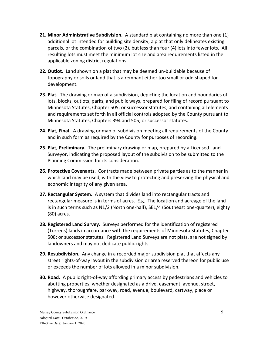- **21. Minor Administrative Subdivision.** A standard plat containing no more than one (1) additional lot intended for building site density, a plat that only delineates existing parcels, or the combination of two (2), but less than four (4) lots into fewer lots. All resulting lots must meet the minimum lot size and area requirements listed in the applicable zoning district regulations.
- **22. Outlot.** Land shown on a plat that may be deemed un-buildable because of topography or soils or land that is a remnant either too small or odd shaped for development.
- **23. Plat.** The drawing or map of a subdivision, depicting the location and boundaries of lots, blocks, outlots, parks, and public ways, prepared for filing of record pursuant to Minnesota Statutes, Chapter 505; or successor statutes, and containing all elements and requirements set forth in all official controls adopted by the County pursuant to Minnesota Statutes, Chapters 394 and 505; or successor statutes.
- **24. Plat, Final.** A drawing or map of subdivision meeting all requirements of the County and in such form as required by the County for purposes of recording.
- **25. Plat, Preliminary.** The preliminary drawing or map, prepared by a Licensed Land Surveyor, indicating the proposed layout of the subdivision to be submitted to the Planning Commission for its consideration.
- **26. Protective Covenants.** Contracts made between private parties as to the manner in which land may be used, with the view to protecting and preserving the physical and economic integrity of any given area.
- **27. Rectangular System.** A system that divides land into rectangular tracts and rectangular measure is in terms of acres. E.g. The location and acreage of the land is in such terms such as N1/2 (North one-half), SE1/4 (Southeast one-quarter), eighty (80) acres.
- **28. Registered Land Survey.** Surveys performed for the identification of registered (Torrens) lands in accordance with the requirements of Minnesota Statutes, Chapter 508; or successor statutes. Registered Land Surveys are not plats, are not signed by landowners and may not dedicate public rights.
- **29. Resubdivision.** Any change in a recorded major subdivision plat that affects any street rights-of-way layout in the subdivision or area reserved thereon for public use or exceeds the number of lots allowed in a minor subdivision.
- **30. Road.** A public right-of-way affording primary access by pedestrians and vehicles to abutting properties, whether designated as a drive, easement, avenue, street, highway, thoroughfare, parkway, road, avenue, boulevard, cartway, place or however otherwise designated.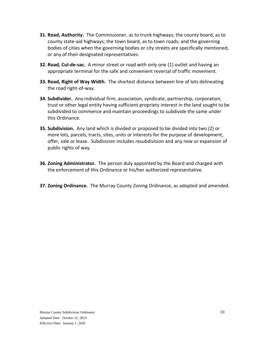- **31. Road, Authority.** The Commissioner, as to trunk highways; the county board, as to county state-aid highways; the town board, as to town roads; and the governing bodies of cities when the governing bodies or city streets are specifically mentioned, or any of their designated representatives.
- **32. Road, Cul-de-sac.** A minor street or road with only one (1) outlet and having an appropriate terminal for the safe and convenient reversal of traffic movement.
- **33. Road, Right of Way Width.** The shortest distance between line of lots delineating the road right-of-way.
- **34. Subdivider.** Any individual firm, association, syndicate, partnership, corporation, trust or other legal entity having sufficient propriety interest in the land sought to be subdivided to commence and maintain proceedings to subdivide the same under this Ordinance.
- **35. Subdivision.** Any land which is divided or proposed to be divided into two (2) or more lots, parcels, tracts, sites, units or interests for the purpose of development, offer, sale or lease. Subdivision includes resubdivision and any new or expansion of public rights of way.
- **36. Zoning Administrator.** The person duly appointed by the Board and charged with the enforcement of this Ordinance or his/her authorized representative.
- **37. Zoning Ordinance.** The Murray County Zoning Ordinance, as adopted and amended.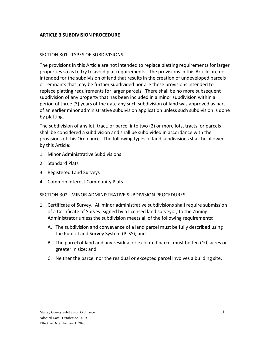# <span id="page-10-0"></span>**ARTICLE 3 SUBDIVISION PROCEDURE**

## <span id="page-10-1"></span>SECTION 301. TYPES OF SUBDIVISIONS

The provisions in this Article are not intended to replace platting requirements for larger properties so as to try to avoid plat requirements. The provisions in this Article are not intended for the subdivision of land that results in the creation of undeveloped parcels or remnants that may be further subdivided nor are these provisions intended to replace platting requirements for larger parcels. There shall be no more subsequent subdivision of any property that has been included in a minor subdivision within a period of three (3) years of the date any such subdivision of land was approved as part of an earlier minor administrative subdivision application unless such subdivision is done by platting.

The subdivision of any lot, tract, or parcel into two (2) or more lots, tracts, or parcels shall be considered a subdivision and shall be subdivided in accordance with the provisions of this Ordinance. The following types of land subdivisions shall be allowed by this Article:

- 1. Minor Administrative Subdivisions
- 2. Standard Plats
- 3. Registered Land Surveys
- 4. Common Interest Community Plats

## <span id="page-10-2"></span>SECTION 302. MINOR ADMINISTRATIVE SUBDIVISION PROCEDURES

- 1. Certificate of Survey. All minor administrative subdivisions shall require submission of a Certificate of Survey, signed by a licensed land surveyor, to the Zoning Administrator unless the subdivision meets all of the following requirements:
	- A. The subdivision and conveyance of a land parcel must be fully described using the Public Land Survey System (PLSS); and
	- B. The parcel of land and any residual or excepted parcel must be ten (10) acres or greater in size; and
	- C. Neither the parcel nor the residual or excepted parcel involves a building site.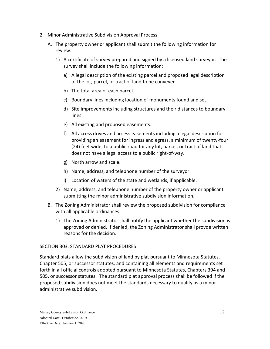- 2. Minor Administrative Subdivision Approval Process
	- A. The property owner or applicant shall submit the following information for review:
		- 1) A certificate of survey prepared and signed by a licensed land surveyor. The survey shall include the following information:
			- a) A legal description of the existing parcel and proposed legal description of the lot, parcel, or tract of land to be conveyed.
			- b) The total area of each parcel.
			- c) Boundary lines including location of monuments found and set.
			- d) Site improvements including structures and their distances to boundary lines.
			- e) All existing and proposed easements.
			- f) All access drives and access easements including a legal description for providing an easement for ingress and egress, a minimum of twenty-four (24) feet wide, to a public road for any lot, parcel, or tract of land that does not have a legal access to a public right-of-way.
			- g) North arrow and scale.
			- h) Name, address, and telephone number of the surveyor.
			- i) Location of waters of the state and wetlands, if applicable.
		- 2) Name, address, and telephone number of the property owner or applicant submitting the minor administrative subdivision information.
	- B. The Zoning Administrator shall review the proposed subdivision for compliance with all applicable ordinances.
		- 1) The Zoning Administrator shall notify the applicant whether the subdivision is approved or denied. If denied, the Zoning Administrator shall provde written reasons for the decision.

## <span id="page-11-0"></span>SECTION 303. STANDARD PLAT PROCEDURES

Standard plats allow the subdivision of land by plat pursuant to Minnesota Statutes, Chapter 505, or successor statutes, and containing all elements and requirements set forth in all official controls adopted pursuant to Minnesota Statutes, Chapters 394 and 505, or successor statutes. The standard plat approval process shall be followed if the proposed subdivision does not meet the standards necessary to qualify as a minor administrative subdivision.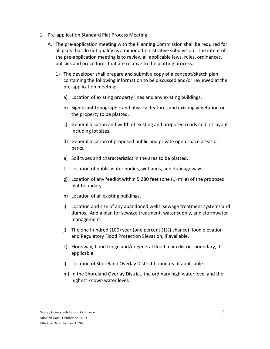- 1. Pre-application Standard Plat Process Meeting
	- A. The pre-application meeting with the Planning Commission shall be required for all plats that do not qualify as a minor administrative subdivision. The intent of the pre-application meeting is to review all applicable laws, rules, ordinances, policies and procedures that are relative to the platting process.
		- 1) The developer shall prepare and submit a copy of a concept/sketch plan containing the following information to be discussed and/or reviewed at the pre-application meeting:
			- a) Location of existing property lines and any existing buildings.
			- b) Significant topographic and physical features and existing vegetation on the property to be platted.
			- c) General location and width of existing and proposed roads and lot layout including lot sizes.
			- d) General location of proposed public and private open space areas or parks.
			- e) Soil types and characteristics in the area to be platted.
			- f) Location of public water bodies, wetlands, and drainageways.
			- g) Lcoation of any feedlot within 5,280 feet (one (1) mile) of the proposed plat boundary.
			- h) Location of all existing buildings.
			- i) Location and size of any abandoned wells, sewage treatment systems and dumps. And a plan for sewage treatment, water supply, and stormwater management.
			- j) The one hundred (100) year (one percent (1%) chance) flood elevation and Regulatory Flood Protection Elevation, if available.
			- k) Floodway, flood fringe and/or general flood plain district boundary, if applicable.
			- l) Location of Shoreland Overlay District boundary, if applicable.
			- m) In the Shoreland Overlay District, the ordinary high water level and the highest known water level.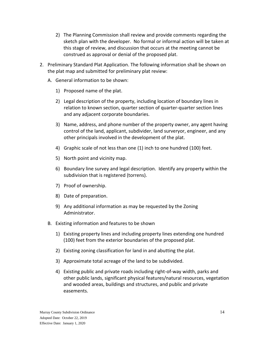- 2) The Planning Commission shall review and provide comments regarding the sketch plan with the developer. No formal or informal action will be taken at this stage of review, and discussion that occurs at the meeting cannot be construed as approval or denial of the proposed plat.
- 2. Preliminary Standard Plat Application. The following information shall be shown on the plat map and submitted for preliminary plat review:
	- A. General information to be shown:
		- 1) Proposed name of the plat.
		- 2) Legal description of the property, including location of boundary lines in relation to known section, quarter section of quarter-quarter section lines and any adjacent corporate boundaries.
		- 3) Name, address, and phone number of the property owner, any agent having control of the land, applicant, subdivider, land surveryor, engineer, and any other principals involved in the development of the plat.
		- 4) Graphic scale of not less than one (1) inch to one hundred (100) feet.
		- 5) North point and vicinity map.
		- 6) Boundary line survey and legal description. Identify any property within the subdivision that is registered (torrens).
		- 7) Proof of ownership.
		- 8) Date of preparation.
		- 9) Any additional information as may be requested by the Zoning Administrator.
	- B. Existing information and features to be shown
		- 1) Existing property lines and including property lines extending one hundred (100) feet from the exterior boundaries of the proposed plat.
		- 2) Existing zoning classification for land in and abutting the plat.
		- 3) Approximate total acreage of the land to be subdivided.
		- 4) Existing public and private roads including right-of-way width, parks and other public lands, significant physical features/natural resources, vegetation and wooded areas, buildings and structures, and public and private easements.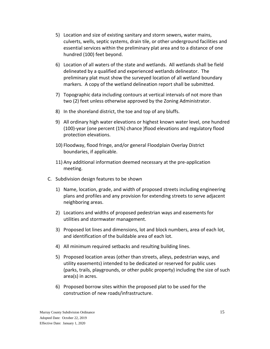- 5) Location and size of existing sanitary and storm sewers, water mains, culverts, wells, septic systems, drain tile, or other underground facilities and essential services within the preliminary plat area and to a distance of one hundred (100) feet beyond.
- 6) Location of all waters of the state and wetlands. All wetlands shall be field delineated by a qualified and experienced wetlands delineator. The preliminary plat must show the surveyed location of all wetland boundary markers. A copy of the wetland delineation report shall be submitted.
- 7) Topographic data including contours at vertical intervals of not more than two (2) feet unless otherwise approved by the Zoning Administrator.
- 8) In the shoreland district, the toe and top of any bluffs.
- 9) All ordinary high water elevations or highest known water level, one hundred (100)-year (one percent (1%) chance )flood elevations and regulatory flood protection elevations.
- 10) Floodway, flood fringe, and/or general Floodplain Overlay District boundaries, if applicable.
- 11) Any additional information deemed necessary at the pre-application meeting.
- C. Subdivision design features to be shown
	- 1) Name, location, grade, and width of proposed streets including engineering plans and profiles and any provision for extending streets to serve adjacent neighboring areas.
	- 2) Locations and widths of proposed pedestrian ways and easements for utilities and stormwater management.
	- 3) Proposed lot lines and dimensions, lot and block numbers, area of each lot, and identification of the buildable area of each lot.
	- 4) All minimum required setbacks and resulting building lines.
	- 5) Proposed location areas (other than streets, alleys, pedestrian ways, and utility easements) intended to be dedicated or reserved for public uses (parks, trails, playgrounds, or other public property) including the size of such area(s) in acres.
	- 6) Proposed borrow sites within the proposed plat to be used for the construction of new roads/infrastructure.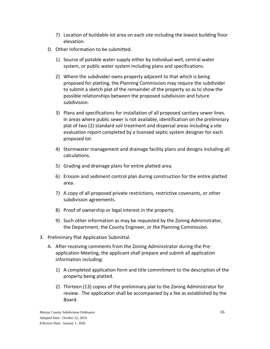- 7) Location of buildable lot area on each site including the lowest building floor elevation.
- D. Other Information to be submitted.
	- 1) Source of potable water supply either by individual well, central water system, or public water system including plans and specifications.
	- 2) Where the subdivider owns property adjacent to that which is being proposed for platting, the Planning Commission may require the subdivider to submit a sketch plat of the remainder of the property so as to show the possible relationships between the proposed subdivision and future subdivision.
	- 3) Plans and specifications for installation of all proposed sanitary sewer lines. In areas where public sewer is not available, identification on the preliminary plat of two (2) standard soil treatment and dispersal areas including a site evaluation report completed by a licensed septic system designer for each proposed lot.
	- 4) Stormwater management and drainage facility plans and designs including all calculations.
	- 5) Grading and drainage plans for entire platted area.
	- 6) Erosion and sediment control plan during construction for the entire platted area.
	- 7) A copy of all proposed private restrictions, restrictive covenants, or other subdivision agreements.
	- 8) Proof of ownership or legal interest in the property.
	- 9) Such other information as may be requested by the Zoning Administrator, the Department, the County Engineer, or the Planning Commission.
- 3. Preliminary Plat Application Submittal.
	- A. After receiving comments from the Zoning Administrator during the Preapplication Meeting, the applicant shall prepare and submit all application information including:
		- 1) A completed application form and title commitment to the description of the property being platted.
		- 2) Thirteen (13) copies of the preliminary plat to the Zoning Administrator for review. The application shall be accompanied by a fee as established by the Board.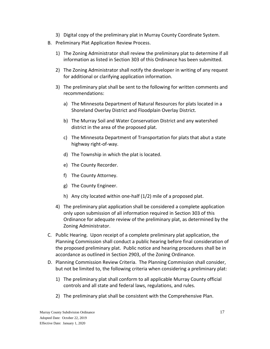- 3) Digital copy of the preliminary plat in Murray County Coordinate System.
- B. Preliminary Plat Application Review Process.
	- 1) The Zoning Administrator shall review the preliminary plat to determine if all information as listed in Section 303 of this Ordinance has been submitted.
	- 2) The Zoning Administrator shall notify the developer in writing of any request for additional or clarifying application information.
	- 3) The preliminary plat shall be sent to the following for written comments and recommendations:
		- a) The Minnesota Department of Natural Resources for plats located in a Shoreland Overlay District and Floodplain Overlay District.
		- b) The Murray Soil and Water Conservation District and any watershed district in the area of the proposed plat.
		- c) The Minnesota Department of Transportation for plats that abut a state highway right-of-way.
		- d) The Township in which the plat is located.
		- e) The County Recorder.
		- f) The County Attorney.
		- g) The County Engineer.
		- h) Any city located within one-half (1/2) mile of a proposed plat.
	- 4) The preliminary plat application shall be considered a complete application only upon submission of all information required in Section 303 of this Ordinance for adequate review of the preliminary plat, as determined by the Zoning Administrator.
- C. Public Hearing. Upon receipt of a complete preliminary plat application, the Planning Commission shall conduct a public hearing before final consideration of the proposed preliminary plat. Public notice and hearing procedures shall be in accordance as outlined in Section 2903, of the Zoning Ordinance.
- D. Planning Commission Review Criteria. The Planning Commission shall consider, but not be limited to, the following criteria when considering a preliminary plat:
	- 1) The preliminary plat shall conform to all applicable Murray County official controls and all state and federal laws, regulations, and rules.
	- 2) The preliminary plat shall be consistent with the Comprehensive Plan.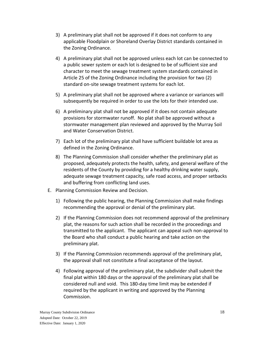- 3) A preliminary plat shall not be approved if it does not conform to any applicable Floodplain or Shoreland Overlay District standards contained in the Zoning Ordinance.
- 4) A preliminary plat shall not be approved unless each lot can be connected to a public sewer system or each lot is designed to be of sufficient size and character to meet the sewage treatment system standards contained in Article 25 of the Zoning Ordinance including the provision for two (2) standard on-site sewage treatment systems for each lot.
- 5) A preliminary plat shall not be approved where a variance or variances will subsequently be required in order to use the lots for their intended use.
- 6) A preliminary plat shall not be approved if it does not contain adequate provisions for stormwater runoff. No plat shall be approved without a stormwater management plan reviewed and approved by the Murray Soil and Water Conservation District.
- 7) Each lot of the preliminary plat shall have sufficient buildable lot area as defined in the Zoning Ordinance.
- 8) The Planning Commission shall consider whether the preliminary plat as proposed, adequately protects the health, safety, and general welfare of the residents of the County by providing for a healthy drinking water supply, adequate sewage treatment capacity, safe road access, and proper setbacks and buffering from conflicting land uses.
- E. Planning Commission Review and Decision.
	- 1) Following the public hearing, the Planning Commission shall make findings recommending the approval or denial of the preliminary plat.
	- 2) If the Planning Commission does not recommend approval of the preliminary plat, the reasons for such action shall be recorded in the proceedings and transmitted to the applicant. The applicant can appeal such non-approval to the Board who shall conduct a public hearing and take action on the preliminary plat.
	- 3) If the Planning Commission recommends approval of the preliminary plat, the approval shall not constitute a final acceptance of the layout.
	- 4) Following approval of the preliminary plat, the subdivider shall submit the final plat within 180 days or the approval of the preliminary plat shall be considered null and void. This 180-day time limit may be extended if required by the applicant in writing and approved by the Planning Commission.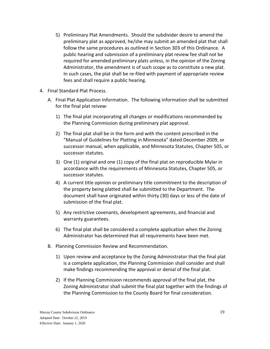- 5) Preliminary Plat Amendments. Should the subdivider desire to amend the preliminary plat as approved, he/she may submit an amended plat that shall follow the same procedures as outlined in Section 303 of this Ordinance. A public hearing and submission of a preliminary plat review fee shall not be required for amended preliminary plats unless, in the opinion of the Zoning Administrator, the amendment is of such scope as to constitute a new plat. In such cases, the plat shall be re-filed with payment of appropriate review fees and shall require a public hearing.
- 4. Final Standard Plat Process.
	- A. Final Plat Application Information. The following information shall be submitted for the final plat reivew:
		- 1) The final plat incorporating all changes or modifications recommended by the Planning Commission during preliminary plat approval.
		- 2) The final plat shall be in the form and with the content prescribed in the "Manual of Guidelines for Platting in Minnesota" dated December 2009, or successor manual, when applicable, and Minnesota Statutes, Chapter 505, or successor statutes.
		- 3) One (1) original and one (1) copy of the final plat on reproducible Mylar in accordance with the requirements of Minnesota Statutes, Chapter 505, or successor statutes.
		- 4) A current title opinion or preliminary title commitment to the description of the property being platted shall be submitted to the Department. The document shall have originated within thirty (30) days or less of the date of submission of the final plat.
		- 5) Any restrictive covenants, development agreements, and financial and warranty guarantees.
		- 6) The final plat shall be considered a complete application when the Zoning Administrator has determined that all requirements have been met.
	- B. Planning Commission Review and Recommendation.
		- 1) Upon review and acceptance by the Zoning Administrator that the final plat is a complete application, the Planning Commission shall consider and shall make findings recommending the approval or denial of the final plat.
		- 2) If the Planning Commission recommends approval of the final plat, the Zoning Administrator shall submit the final plat together with the findings of the Planning Commission to the County Board for final consideration.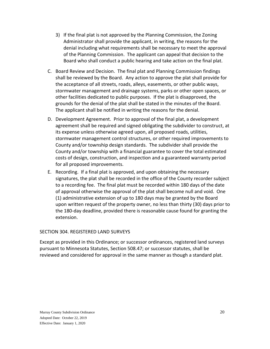- 3) If the final plat is not approved by the Planning Commission, the Zoning Administrator shall provide the applicant, in writing, the reasons for the denial including what requirements shall be necessary to meet the approval of the Planning Commission. The applicant can appeal that decision to the Board who shall conduct a public hearing and take action on the final plat.
- C. Board Review and Decision. The final plat and Planning Commission findings shall be reviewed by the Board. Any action to approve the plat shall provide for the acceptance of all streets, roads, alleys, easements, or other public ways, stormwater management and drainage systems, parks or other open spaces, or other facilities dedicated to public purposes. If the plat is disapproved, the grounds for the denial of the plat shall be stated in the minutes of the Board. The applicant shall be notified in writing the reasons for the denial.
- D. Development Agreement. Prior to approval of the final plat, a development agreement shall be required and signed obligating the subdivider to construct, at its expense unless otherwise agreed upon, all proposed roads, utilities, stormwater management control structures, or other required improvements to County and/or township design standards. The subdivider shall provide the County and/or township with a financial guarantee to cover the total estimated costs of design, construction, and inspection and a guaranteed warranty period for all proposed improvements.
- E. Recording. If a final plat is approved, and upon obtaining the necessary signatures, the plat shall be recorded in the office of the County recorder subject to a recording fee. The final plat must be recorded within 180 days of the date of approval otherwise the approval of the plat shall become null and void. One (1) administrative extension of up to 180 days may be granted by the Board upon written request of the property owner, no less than thirty (30) days prior to the 180-day deadline, provided there is reasonable cause found for granting the extension.

## <span id="page-19-0"></span>SECTION 304. REGISTERED LAND SURVEYS

<span id="page-19-1"></span>Except as provided in this Ordinance; or successor ordinances, registered land surveys pursuant to Minnesota Statutes, Section 508.47; or successor statutes, shall be reviewed and considered for approval in the same manner as though a standard plat.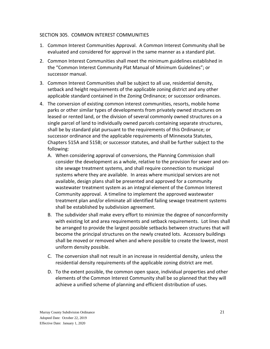#### SECTION 305. COMMON INTEREST COMMUNITIES

- 1. Common Interest Communities Approval. A Common Interest Community shall be evaluated and considered for approval in the same manner as a standard plat.
- 2. Common Interest Communities shall meet the minimum guidelines established in the "Common Interest Community Plat Manual of Minimum Guidelines"; or successor manual.
- 3. Common Interest Communities shall be subject to all use, residential density, setback and height requirements of the applicable zoning district and any other applicable standard contained in the Zoning Ordinance; or successor ordinances.
- <span id="page-20-0"></span>4. The conversion of existing common interest communities, resorts, mobile home parks or other similar types of developments from privately owned structures on leased or rented land, or the division of several commonly owned structures on a single parcel of land to individually owned parcels containing separate structures, shall be by standard plat pursuant to the requirements of this Ordinance; or successor ordinance and the applicable requirements of Minnesota Statutes, Chapters 515A and 515B; or successor statutes, and shall be further subject to the following:
	- A. When considering approval of conversions, the Planning Commission shall consider the development as a whole, relative to the provision for sewer and onsite sewage treatment systems, and shall require connection to municipal systems where they are available. In areas where municipal services are not available, design plans shall be presented and approved for a community wastewater treatment system as an integral element of the Common Interest Community approval. A timeline to implement the approved wastewater treatment plan and/or eliminate all identified failing sewage treatment systems shall be established by subdivision agreement.
	- B. The subdivider shall make every effort to minimize the degree of nonconformity with existing lot and area requirements and setback requirements. Lot lines shall be arranged to provide the largest possible setbacks between structures that will become the principal structures on the newly created lots. Accessory buildings shall be moved or removed when and where possible to create the lowest, most uniform density possible.
	- C. The conversion shall not result in an increase in residential density, unless the residential density requirements of the applicable zoning district are met.
	- D. To the extent possible, the common open space, individual properties and other elements of the Common Interest Community shall be so planned that they will achieve a unified scheme of planning and efficient distribution of uses.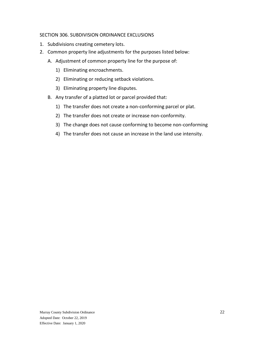## SECTION 306. SUBDIVISION ORDINANCE EXCLUSIONS

- 1. Subdivisions creating cemetery lots.
- 2. Common property line adjustments for the purposes listed below:
	- A. Adjustment of common property line for the purpose of:
		- 1) Eliminating encroachments.
		- 2) Eliminating or reducing setback violations.
		- 3) Eliminating property line disputes.
	- B. Any transfer of a platted lot or parcel provided that:
		- 1) The transfer does not create a non-conforming parcel or plat.
		- 2) The transfer does not create or increase non-conformity.
		- 3) The change does not cause conforming to become non-conforming
		- 4) The transfer does not cause an increase in the land use intensity.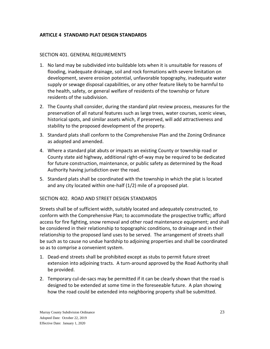# <span id="page-22-0"></span>**ARTICLE 4 STANDARD PLAT DESIGN STANDARDS**

#### <span id="page-22-1"></span>SECTION 401. GENERAL REQUIREMENTS

- 1. No land may be subdivided into buildable lots when it is unsuitable for reasons of flooding, inadequate drainage, soil and rock formations with severe limitation on development, severe erosion potential, unfavorable topography, inadequate water supply or sewage disposal capabilities, or any other feature likely to be harmful to the health, safety, or general welfare of residents of the township or future residents of the subdivision.
- 2. The County shall consider, during the standard plat review process, measures for the preservation of all natural features such as large trees, water courses, scenic views, historical spots, and similar assets which, if preserved, will add attractiveness and stability to the proposed development of the property.
- 3. Standard plats shall conform to the Comprehensive Plan and the Zoning Ordinance as adopted and amended.
- 4. Where a standard plat abuts or impacts an existing County or township road or County state aid highway, additional right-of-way may be required to be dedicated for future construction, maintenance, or public safety as determined by the Road Authority having jurisdiction over the road.
- 5. Standard plats shall be coordinated with the township in which the plat is located and any city located within one-half (1/2) mile of a proposed plat.

## <span id="page-22-2"></span>SECTION 402. ROAD AND STREET DESIGN STANDARDS

Streets shall be of sufficient width, suitably located and adequately constructed, to conform with the Comprehensive Plan; to accommodate the prospective traffic; afford access for fire fighting, snow removal and other road maintenance equipment; and shall be considered in their relationship to topographic conditions, to drainage and in their relationship to the proposed land uses to be served. The arrangement of streets shall be such as to cause no undue hardship to adjoining properties and shall be coordinated so as to comprise a convenient system.

- 1. Dead-end streets shall be prohibited except as stubs to permit future street extension into adjoining tracts. A turn-around approved by the Road Authority shall be provided.
- 2. Temporary cul-de-sacs may be permitted if it can be clearly shown that the road is designed to be extended at some time in the foreseeable future. A plan showing how the road could be extended into neighboring property shall be submitted.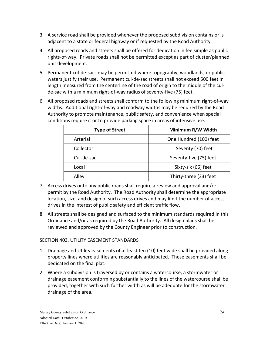- 3. A service road shall be provided whenever the proposed subdivision contains or is adjacent to a state or federal highway or if requested by the Road Authority.
- 4. All proposed roads and streets shall be offered for dedication in fee simple as public rights-of-way. Private roads shall not be permitted except as part of cluster/planned unit development.
- 5. Permanent cul-de-sacs may be permitted where topography, woodlands, or public waters justify their use. Permanent cul-de-sac streets shall not exceed 500 feet in length measured from the centerline of the road of origin to the middle of the culde-sac with a minimum right-of-way radius of seventy-five (75) feet.
- 6. All proposed roads and streets shall conform to the following minimum right-of-way widths. Additional right-of-way and roadway widths may be required by the Road Authority to promote maintenance, public safety, and convenience when special conditions require it or to provide parking space in areas of intensive use.

| <b>Type of Street</b> | Minimum R/W Width      |
|-----------------------|------------------------|
| Arterial              | One Hundred (100) feet |
| Collector             | Seventy (70) feet      |
| Cul-de-sac            | Seventy-five (75) feet |
| Local                 | Sixty-six (66) feet    |
| Alley                 | Thirty-three (33) feet |

- 7. Access drives onto any public roads shall require a review and approval and/or permit by the Road Authority. The Road Authority shall determine the appropriate location, size, and design of such access drives and may limit the number of access drives in the interest of public safety and efficient traffic flow.
- 8. All streets shall be designed and surfaced to the minimum standards required in this Ordinance and/or as required by the Road Authority. All design plans shall be reviewed and approved by the County Engineer prior to construction.

# <span id="page-23-0"></span>SECTION 403. UTILITY EASEMENT STANDARDS

- 1. Drainage and Utility easements of at least ten (10) feet wide shall be provided along property lines where utilities are reasonably anticipated. These easements shall be dedicated on the final plat.
- 2. Where a subdivision is traversed by or contains a watercourse, a stormwater or drainage easement conforming substantially to the lines of the watercourse shall be provided, together with such further width as will be adequate for the stormwater drainage of the area.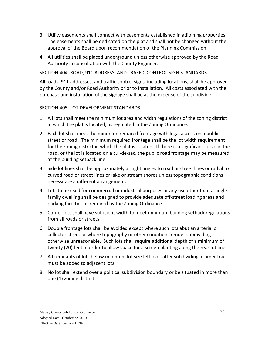- 3. Utility easements shall connect with easements established in adjoining properties. The easements shall be dedicated on the plat and shall not be changed without the approval of the Board upon recommendation of the Planning Commission.
- <span id="page-24-0"></span>4. All utilities shall be placed underground unless otherwise approved by the Road Authority in consultation with the County Engineer.

# SECTION 404. ROAD, 911 ADDRESS, AND TRAFFIC CONTROL SIGN STANDARDS

All roads, 911 addresses, and traffic control signs, including locations, shall be approved by the County and/or Road Authority prior to installation. All costs associated with the purchase and installation of the signage shall be at the expense of the subdivider.

# <span id="page-24-1"></span>SECTION 405. LOT DEVELOPMENT STANDARDS

- 1. All lots shall meet the minimum lot area and width regulations of the zoning district in which the plat is located, as regulated in the Zoning Ordinance.
- 2. Each lot shall meet the minimum required frontage with legal access on a public street or road. The minimum required frontage shall be the lot width requirement for the zoning district in which the plat is located. If there is a significant curve in the road, or the lot is located on a cul-de-sac, the public road frontage may be measured at the building setback line.
- 3. Side lot lines shall be approximately at right angles to road or street lines or radial to curved road or street lines or lake or stream shores unless topographic conditions necessitate a different arrangement.
- 4. Lots to be used for commercial or industrial purposes or any use other than a singlefamily dwelling shall be designed to provide adequate off-street loading areas and parking facilities as required by the Zoning Ordinance.
- 5. Corner lots shall have sufficient width to meet minimum building setback regulations from all roads or streets.
- 6. Double frontage lots shall be avoided except where such lots abut an arterial or collector street or where topography or other conditions render subdividing otherwise unreasonable. Such lots shall require additional depth of a minimum of twenty (20) feet in order to allow space for a screen planting along the rear lot line.
- 7. All remnants of lots below minimum lot size left over after subdividing a larger tract must be added to adjacent lots.
- 8. No lot shall extend over a political subdivision boundary or be situated in more than one (1) zoning district.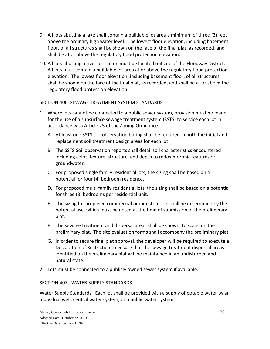- 9. All lots abutting a lake shall contain a buildable lot area a minimum of three (3) feet above the ordinary high water level. The lowest floor elevation, including basement floor, of all structures shall be shown on the face of the final plat, as recorded, and shall be at or above the regulatory flood protection elevation.
- 10. All lots abutting a river or stream must be located outside of the Floodway District. All lots must contain a buildable lot area at or above the regulatory flood protection elevation. The lowest floor elevation, including basement floor, of all structures shall be shown on the face of the final plat, as recorded, and shall be at or above the regulatory flood protection elevation.

## <span id="page-25-0"></span>SECTION 406. SEWAGE TREATMENT SYSTEM STANDARDS

- 1. Where lots cannot be connected to a public sewer system, provision must be made for the use of a subsurface sewage treatment system (SSTS) to service each lot in accordance with Article 25 of the Zoning Ordinance.
	- A. At least one SSTS soil observation boring shall be required in both the initial and replacement soil treatment design areas for each lot.
	- B. The SSTS Soil observation reports shall detail soil characteristics encountered including color, texture, structure, and depth to redoximorphic features or groundwater.
	- C. For proposed single family residential lots, the sizing shall be based on a potential for four (4) bedroom residence.
	- D. For proposed multi-family residential lots, the sizing shall be based on a potential for three (3) bedrooms per residential unit.
	- E. The sizing for proposed commercial or industrial lots shall be determined by the potential use, which must be noted at the time of submission of the preliminary plat.
	- F. The sewage treatment and dispersal areas shall be shown, to scale, on the preliminary plat. The site evaluation forms shall accompany the preliminary plat.
	- G. In order to secure final plat approval, the developer will be required to execute a Declaration of Restriction to ensure that the sewage treatment dispersal areas identified on the preliminary plat will be maintained in an undisturbed and natural state.
- 2. Lots must be connected to a publicly owned sewer system if available.

## <span id="page-25-1"></span>SECTION 407. WATER SUPPLY STANDARDS

Water Supply Standards. Each lot shall be provided with a supply of potable water by an individual well, central water system, or a public water system.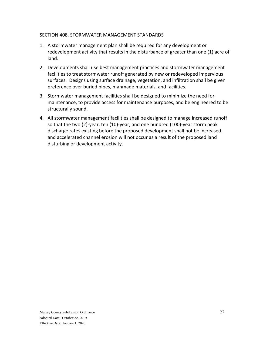#### <span id="page-26-0"></span>SECTION 408. STORMWATER MANAGEMENT STANDARDS

- 1. A stormwater management plan shall be required for any development or redevelopment activity that results in the disturbance of greater than one (1) acre of land.
- 2. Developments shall use best management practices and stormwater management facilities to treat stormwater runoff generated by new or redeveloped impervious surfaces. Designs using surface drainage, vegetation, and infiltration shall be given preference over buried pipes, manmade materials, and facilities.
- 3. Stormwater management facilities shall be designed to minimize the need for maintenance, to provide access for maintenance purposes, and be engineered to be structurally sound.
- 4. All stormwater management facilities shall be designed to manage increased runoff so that the two (2)-year, ten (10)-year, and one hundred (100)-year storm peak discharge rates existing before the proposed development shall not be increased, and accelerated channel erosion will not occur as a result of the proposed land disturbing or development activity.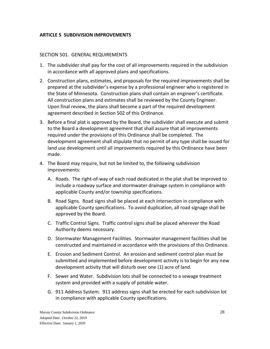# <span id="page-27-0"></span>**ARTICLE 5 SUBDIVISION IMPROVEMENTS**

#### <span id="page-27-1"></span>SECTION 501. GENERAL REQUIREMENTS

- 1. The subdivider shall pay for the cost of all improvements required in the subdivision in accordance with all approved plans and specifications.
- 2. Construction plans, estimates, and proposals for the required improvements shall be prepared at the subdivider's expense by a professional engineer who is registered in the State of Minnesota. Construction plans shall contain an engineer's certificate. All construction plans and estimates shall be reviewed by the County Engineer. Upon final review, the plans shall become a part of the required development agreement described in Section 502 of this Ordinance.
- 3. Before a final plat is approved by the Board, the subdivider shall execute and submit to the Board a development agreement that shall assure that all improvements required under the provisions of this Ordinance shall be completed. The development agreement shall stipulate that no permit of any type shall be issued for land use development until all improvements required by this Ordinance have been made.
- 4. The Board may require, but not be limited to, the following subdivision improvements:
	- A. Roads. The right-of-way of each road dedicated in the plat shall be improved to include a roadway surface and stormwater drainage system in compliance with applicable County and/or township specifications.
	- B. Road Signs. Road signs shall be placed at each intersection in compliance with applicable County specifications. To avoid duplication, all road signage shall be approved by the Board.
	- C. Traffic Control Signs. Traffic control signs shall be placed wherever the Road Authority deems necessary.
	- D. Stormwater Management Facilities. Stormwater management facilities shall be constructed and maintained in accordance with the provisions of this Ordinance.
	- E. Erosion and Sediment Control. An erosion and sediment control plan must be submitted and implemented before development activity is to begin for any new development activity that will disturb over one (1) acre of land.
	- F. Sewer and Water. Subdivision lots shall be connected to a sewage treatment system and provided with a supply of potable water.
	- G. 911 Address System. 911 address signs shall be erected for each subdivision lot in compliance with applicable County specifications.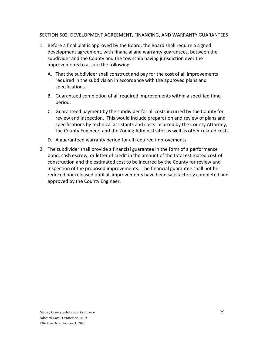#### <span id="page-28-0"></span>SECTION 502. DEVELOPMENT AGREEMENT, FINANCING, AND WARRANTY GUARANTEES

- 1. Before a final plat is approved by the Board, the Board shall require a signed development agreement, with financial and warranty guarantees, between the subdivider and the County and the township having jurisdiction over the improvements to assure the following:
	- A. That the subdivider shall construct and pay for the cost of all improvements required in the subdivision in accordance with the approved plans and specifications.
	- B. Guaranteed completion of all required improvements within a specified time period.
	- C. Guaranteed payment by the subdivider for all costs incurred by the County for review and inspection. This would include preparation and review of plans and specifications by technical assistants and costs incurred by the County Attorney, the County Engineer, and the Zoning Administrator as well as other related costs.
	- D. A guaranteed warranty period for all required improvements.
- 2. The subdivider shall provide a financial guarantee in the form of a performance bond, cash escrow, or letter of credit in the amount of the total estimated cost of construction and the estimated cost to be incurred by the County for review and inspection of the proposed improvements. The financial guarantee shall not be reduced nor released until all improvements have been satisfactorily completed and approved by the County Engineer.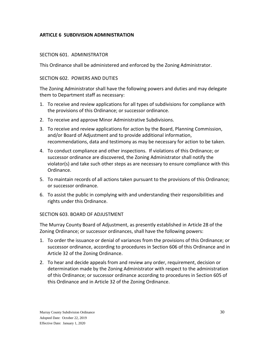# <span id="page-29-0"></span>**ARTICLE 6 SUBDIVISION ADMINISTRATION**

#### <span id="page-29-1"></span>SECTION 601. ADMINISTRATOR

This Ordinance shall be administered and enforced by the Zoning Administrator.

#### <span id="page-29-2"></span>SECTION 602. POWERS AND DUTIES

The Zoning Administrator shall have the following powers and duties and may delegate them to Department staff as necessary:

- 1. To receive and review applications for all types of subdivisions for compliance with the provisions of this Ordinance; or successor ordinance.
- 2. To receive and approve Minor Administrative Subdivisions.
- 3. To receive and review applications for action by the Board, Planning Commission, and/or Board of Adjustment and to provide additional information, recommendations, data and testimony as may be necessary for action to be taken.
- 4. To conduct compliance and other inspections. If violations of this Ordinance; or successor ordinance are discovered, the Zoning Administrator shall notify the violator(s) and take such other steps as are necessary to ensure compliance with this Ordinance.
- 5. To maintain records of all actions taken pursuant to the provisions of this Ordinance; or successor ordinance.
- 6. To assist the public in complying with and understanding their responsibilities and rights under this Ordinance.

## <span id="page-29-3"></span>SECTION 603. BOARD OF ADJUSTMENT

The Murray County Board of Adjustment, as presently established in Article 28 of the Zoning Ordinance; or successor ordinances, shall have the following powers:

- 1. To order the issuance or denial of variances from the provisions of this Ordinance; or successor ordinance, according to procedures in Section 606 of this Ordinance and in Article 32 of the Zoning Ordinance.
- 2. To hear and decide appeals from and review any order, requirement, decision or determination made by the Zoning Administrator with respect to the administration of this Ordinance; or successor ordinance according to procedures in Section 605 of this Ordinance and in Article 32 of the Zoning Ordinance.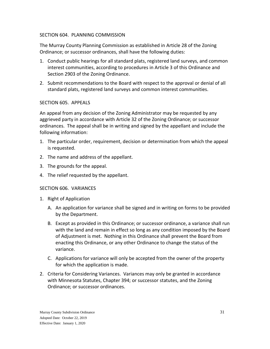## <span id="page-30-0"></span>SECTION 604. PLANNING COMMISSION

The Murray County Planning Commission as established in Article 28 of the Zoning Ordinance; or successor ordinances, shall have the following duties:

- 1. Conduct public hearings for all standard plats, registered land surveys, and common interest communities, according to procedures in Article 3 of this Ordinance and Section 2903 of the Zoning Ordinance.
- 2. Submit recommendations to the Board with respect to the approval or denial of all standard plats, registered land surveys and common interest communities.

## <span id="page-30-1"></span>SECTION 605. APPEALS

An appeal from any decision of the Zoning Administrator may be requested by any aggrieved party in accordance with Article 32 of the Zoning Ordinance; or successor ordinances. The appeal shall be in writing and signed by the appellant and include the following information:

- 1. The particular order, requirement, decision or determination from which the appeal is requested.
- 2. The name and address of the appellant.
- 3. The grounds for the appeal.
- 4. The relief requested by the appellant.

# <span id="page-30-2"></span>SECTION 606. VARIANCES

- 1. Right of Application
	- A. An application for variance shall be signed and in writing on forms to be provided by the Department.
	- B. Except as provided in this Ordinance; or successor ordinance, a variance shall run with the land and remain in effect so long as any condition imposed by the Board of Adjustment is met. Nothing in this Ordinance shall prevent the Board from enacting this Ordinance, or any other Ordinance to change the status of the variance.
	- C. Applications for variance will only be accepted from the owner of the property for which the application is made.
- 2. Criteria for Considering Variances. Variances may only be granted in accordance with Minnesota Statutes, Chapter 394; or successor statutes, and the Zoning Ordinance; or successor ordinances.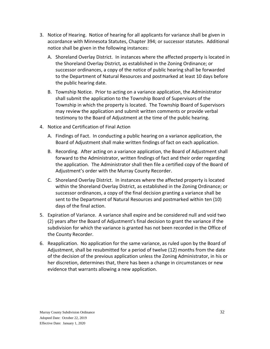- 3. Notice of Hearing. Notice of hearing for all applicants for variance shall be given in accordance with Minnesota Statutes, Chapter 394; or successor statutes. Additional notice shall be given in the following instances:
	- A. Shoreland Overlay District. In instances where the affected property is located in the Shoreland Overlay District, as established in the Zoning Ordinance; or successor ordinances, a copy of the notice of public hearing shall be forwarded to the Department of Natural Resources and postmarked at least 10 days before the public hearing date.
	- B. Township Notice. Prior to acting on a variance application, the Administrator shall submit the application to the Township Board of Supervisors of the Township in which the property is located. The Township Board of Supervisors may review the application and submit written comments or provide verbal testimony to the Board of Adjustment at the time of the public hearing.
- 4. Notice and Certification of Final Action
	- A. Findings of Fact. In conducting a public hearing on a variance application, the Board of Adjustment shall make written findings of fact on each application.
	- B. Recording. After acting on a variance application, the Board of Adjustment shall forward to the Administrator, written findings of fact and their order regarding the application. The Administrator shall then file a certified copy of the Board of Adjustment's order with the Murray County Recorder.
	- C. Shoreland Overlay District. In instances where the affected property is located within the Shoreland Overlay District, as established in the Zoning Ordinance; or successor ordinances, a copy of the final decision granting a variance shall be sent to the Department of Natural Resources and postmarked within ten (10) days of the final action.
- 5. Expiration of Variance. A variance shall expire and be considered null and void two (2) years after the Board of Adjustment's final decision to grant the variance if the subdivision for which the variance is granted has not been recorded in the Office of the County Recorder.
- 6. Reapplication. No application for the same variance, as ruled upon by the Board of Adjustment, shall be resubmitted for a period of twelve (12) months from the date of the decision of the previous application unless the Zoning Administrator, in his or her discretion, determines that, there has been a change in circumstances or new evidence that warrants allowing a new application.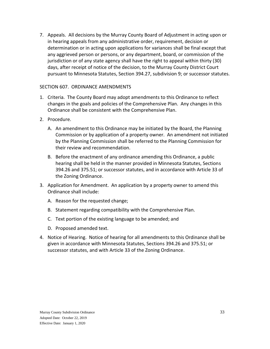7. Appeals. All decisions by the Murray County Board of Adjustment in acting upon or in hearing appeals from any administrative order, requirement, decision or determination or in acting upon applications for variances shall be final except that any aggrieved person or persons, or any department, board, or commission of the jurisdiction or of any state agency shall have the right to appeal within thirty (30) days, after receipt of notice of the decision, to the Murray County District Court pursuant to Minnesota Statutes, Section 394.27, subdivision 9; or successor statutes.

## <span id="page-32-0"></span>SECTION 607. ORDINANCE AMENDMENTS

- 1. Criteria. The County Board may adopt amendments to this Ordinance to reflect changes in the goals and policies of the Comprehensive Plan. Any changes in this Ordinance shall be consistent with the Comprehensive Plan.
- 2. Procedure.
	- A. An amendment to this Ordinance may be initiated by the Board, the Planning Commission or by application of a property owner. An amendment not initiated by the Planning Commission shall be referred to the Planning Commission for their review and recommendation.
	- B. Before the enactment of any ordinance amending this Ordinance, a public hearing shall be held in the manner provided in Minnesota Statutes, Sections 394.26 and 375.51; or successor statutes, and in accordance with Article 33 of the Zoning Ordinance.
- 3. Application for Amendment. An application by a property owner to amend this Ordinance shall include:
	- A. Reason for the requested change;
	- B. Statement regarding compatibility with the Comprehensive Plan.
	- C. Text portion of the existing language to be amended; and
	- D. Proposed amended text.
- 4. Notice of Hearing. Notice of hearing for all amendments to this Ordinance shall be given in accordance with Minnesota Statutes, Sections 394.26 and 375.51; or successor statutes, and with Article 33 of the Zoning Ordinance.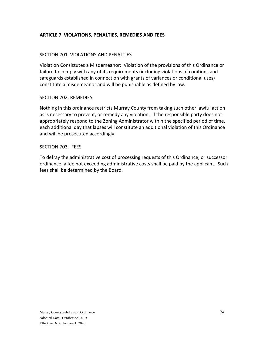## <span id="page-33-0"></span>**ARTICLE 7 VIOLATIONS, PENALTIES, REMEDIES AND FEES**

#### <span id="page-33-1"></span>SECTION 701. VIOLATIONS AND PENALTIES

Violation Consistutes a Misdemeanor: Violation of the provisions of this Ordinance or failure to comply with any of its requirements (including violations of conitions and safeguards established in connection with grants of variances or conditional uses) constitute a misdemeanor and will be punishable as defined by law.

#### <span id="page-33-2"></span>SECTION 702. REMEDIES

Nothing in this ordinance restricts Murray County from taking such other lawful action as is necessary to prevent, or remedy any violation. If the responsible party does not appropriately respond to the Zoning Administrator within the specified period of time, each additional day that lapses will constitute an additional violation of this Ordinance and will be prosecuted accordingly.

#### <span id="page-33-3"></span>SECTION 703. FEES

To defray the administrative cost of processing requests of this Ordinance; or successor ordinance, a fee not exceeding administrative costs shall be paid by the applicant. Such fees shall be determined by the Board.